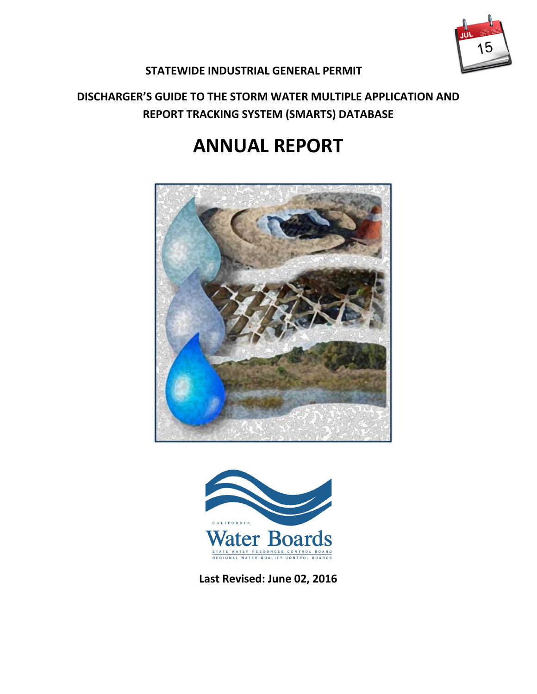

## **STATEWIDE INDUSTRIAL GENERAL PERMIT**

# **DISCHARGER'S GUIDE TO THE STORM WATER MULTIPLE APPLICATION AND REPORT TRACKING SYSTEM (SMARTS) DATABASE**

# **ANNUAL REPORT**





<span id="page-0-0"></span>**Last Revised: June 02, 2016**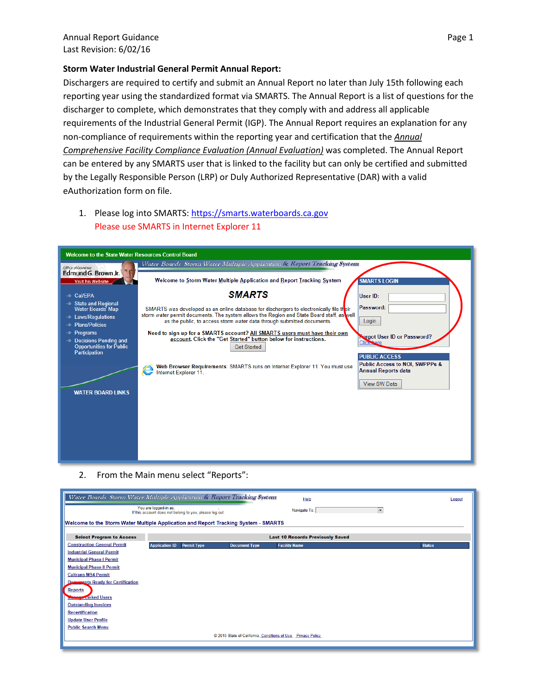#### **Storm Water Industrial General Permit Annual Report:**

Dischargers are required to certify and submit an Annual Report no later than July 15th following each reporting year using the standardized format via SMARTS. The Annual Report is a list of questions for the discharger to complete, which demonstrates that they comply with and address all applicable requirements of the Industrial General Permit (IGP). The Annual Report requires an explanation for any non-compliance of requirements within the reporting year and certification that the *Annual Comprehensive Facility Compliance Evaluation (Annual Evaluation)* was completed. The Annual Report can be entered by any SMARTS user that is linked to the facility but can only be certified and submitted by the Legally Responsible Person (LRP) or Duly Authorized Representative (DAR) with a valid eAuthorization form on file.

### 1. Please log into SMARTS: [https://smarts.waterboards.ca.gov](https://smarts.waterboards.ca.gov/) Please use SMARTS in Internet Explorer 11

| <b>Welcome to the State Water Resources Control Board</b>                                                                                                                                                                         |                                                                                                                                                                                                                                                                                                                                                                                                                                                                                                                                                                                                                                                                                                                                                                                               |
|-----------------------------------------------------------------------------------------------------------------------------------------------------------------------------------------------------------------------------------|-----------------------------------------------------------------------------------------------------------------------------------------------------------------------------------------------------------------------------------------------------------------------------------------------------------------------------------------------------------------------------------------------------------------------------------------------------------------------------------------------------------------------------------------------------------------------------------------------------------------------------------------------------------------------------------------------------------------------------------------------------------------------------------------------|
| Office of Governor                                                                                                                                                                                                                | Water Boards Storm Water Multiple Application & Report Tracking System                                                                                                                                                                                                                                                                                                                                                                                                                                                                                                                                                                                                                                                                                                                        |
| Edmund G. Brown Jr.<br><b>Visit his Website</b>                                                                                                                                                                                   | Welcome to Storm Water Multiple Application and Report Tracking System<br><b>SMARTS LOGIN</b>                                                                                                                                                                                                                                                                                                                                                                                                                                                                                                                                                                                                                                                                                                 |
| → Cal/EPA<br>$\gg$ State and Regional<br>Water Boards' Map<br>» Laws/Regulations<br>» Plans/Policies<br>$\gg$ Programs<br>» Decisions Pending and<br><b>Opportunities for Public</b><br>Participation<br><b>WATER BOARD LINKS</b> | <b>SMARTS</b><br>User ID:<br>Password:<br>SMARTS was developed as an online database for dischargers to electronically file their<br>storm water permit documents. The system allows the Region and State Board staff, as well<br>Login<br>as the public, to access storm water data through submitted documents.<br>Need to sign up for a SMARTS account? All SMARTS users must have their own<br><b>Norgot User ID or Password?</b><br>account. Click the "Get Started" button below for instructions.<br><b>Click</b> <sup>*</sup><br><b>Get Started</b><br><b>PUBLIC ACCESS</b><br><b>Public Access to NOI, SWPPPs &amp;</b><br>Web Browser Requirements: SMARTS runs on Internet Explorer 11. You must use<br><b>Annual Reports data</b><br>Internet Explorer 11.<br><b>View SW Data</b> |
|                                                                                                                                                                                                                                   |                                                                                                                                                                                                                                                                                                                                                                                                                                                                                                                                                                                                                                                                                                                                                                                               |

2. From the Main menu select "Reports":

| Water Boards Storm Water Multiple Application & Report Tracking System              |                                                                                  |                      | Help                                                          |                          | Logout |
|-------------------------------------------------------------------------------------|----------------------------------------------------------------------------------|----------------------|---------------------------------------------------------------|--------------------------|--------|
|                                                                                     | You are logged-in as:<br>If this account does not belong to you, please log out. |                      | Navigate To:                                                  | $\overline{\phantom{a}}$ |        |
| Welcome to the Storm Water Multiple Application and Report Tracking System - SMARTS |                                                                                  |                      |                                                               |                          |        |
| <b>Select Program to Access</b>                                                     |                                                                                  |                      | <b>Last 10 Records Previously Saved</b>                       |                          |        |
| <b>Construction General Permit</b>                                                  | <b>Application ID</b><br><b>Permit Type</b>                                      | <b>Document Type</b> | <b>Facility Name</b>                                          | <b>Status</b>            |        |
| <b>Industrial General Permit</b>                                                    |                                                                                  |                      |                                                               |                          |        |
| <b>Municipal Phase I Permit</b>                                                     |                                                                                  |                      |                                                               |                          |        |
| <b>Municipal Phase II Permit</b>                                                    |                                                                                  |                      |                                                               |                          |        |
| <b>Caltrans MS4 Permit</b>                                                          |                                                                                  |                      |                                                               |                          |        |
| <b>Documents Ready for Certification</b>                                            |                                                                                  |                      |                                                               |                          |        |
| <b>Reports</b>                                                                      |                                                                                  |                      |                                                               |                          |        |
| <b>Mage Linked Users</b>                                                            |                                                                                  |                      |                                                               |                          |        |
| <b>Outstanding Invoices</b>                                                         |                                                                                  |                      |                                                               |                          |        |
| <b>Recertification</b>                                                              |                                                                                  |                      |                                                               |                          |        |
| <b>Update User Profile</b>                                                          |                                                                                  |                      |                                                               |                          |        |
| <b>Public Search Menu</b>                                                           |                                                                                  |                      |                                                               |                          |        |
|                                                                                     |                                                                                  |                      | @ 2015 State of California. Conditions of Use  Privacy Policy |                          |        |
|                                                                                     |                                                                                  |                      |                                                               |                          |        |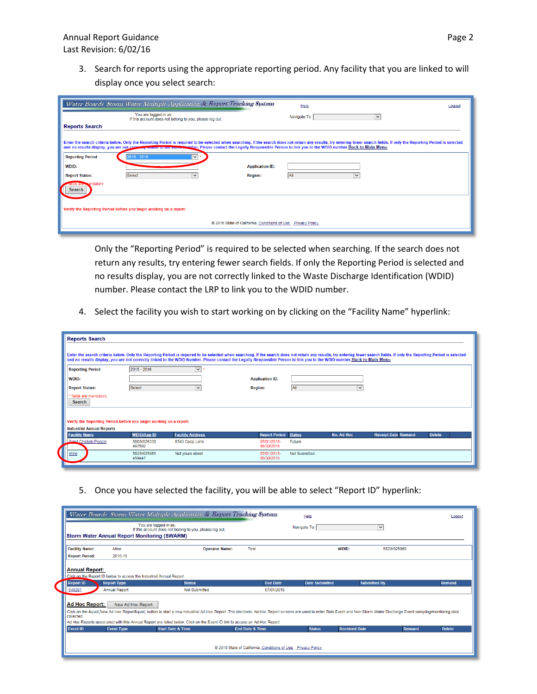3. Search for reports using the appropriate reporting period. Any facility that you are linked to will display once you select search:

|                                               | Water Boards Storm Water Multiple Application & Report Tracking System                                                                                                  |                                                              | Help                                                                                                                                                                                                                        | Logout |
|-----------------------------------------------|-------------------------------------------------------------------------------------------------------------------------------------------------------------------------|--------------------------------------------------------------|-----------------------------------------------------------------------------------------------------------------------------------------------------------------------------------------------------------------------------|--------|
|                                               | You are logged-in as:<br>If this account does not belong to you, please log out.                                                                                        |                                                              | Navigate To:<br>$\checkmark$                                                                                                                                                                                                |        |
| <b>Reports Search</b>                         |                                                                                                                                                                         |                                                              |                                                                                                                                                                                                                             |        |
|                                               | and no results display, you are not correctly mineu to the word-Newber. Please contact the Legally Responsible Person to link you to the WDID number. Back to Main Menu |                                                              | Enter the search criteria below. Only the Reporting Period is required to be selected when searching. If the search does not return any results, try entering fewer search fields. If only the Reporting Period is selected |        |
| <b>Reporting Period</b>                       | ▽<br>$[2015 - 2016]$                                                                                                                                                    |                                                              |                                                                                                                                                                                                                             |        |
| WDID:                                         |                                                                                                                                                                         | <b>Application ID:</b>                                       |                                                                                                                                                                                                                             |        |
| <b>Report Status:</b>                         | Select<br>v                                                                                                                                                             | <b>Region:</b>                                               | All<br>$\checkmark$                                                                                                                                                                                                         |        |
| <b>Treids are Reandatory</b><br><b>Search</b> |                                                                                                                                                                         |                                                              |                                                                                                                                                                                                                             |        |
|                                               | Verify the Reporting Period before you begin working on a report.                                                                                                       |                                                              |                                                                                                                                                                                                                             |        |
|                                               |                                                                                                                                                                         | @ 2016 State of California. Conditions of Use Privacy Policy |                                                                                                                                                                                                                             |        |

Only the "Reporting Period" is required to be selected when searching. If the search does not return any results, try entering fewer search fields. If only the Reporting Period is selected and no results display, you are not correctly linked to the Waste Discharge Identification (WDID) number. Please contact the LRP to link you to the WDID number.

4. Select the facility you wish to start working on by clicking on the "Facility Name" hyperlink:

| <b>Reports Search</b>                                             |                       |                         |                                                                                                                                                                                                                                                                                                                                                                                                         |                      |                   |                            |               |  |
|-------------------------------------------------------------------|-----------------------|-------------------------|---------------------------------------------------------------------------------------------------------------------------------------------------------------------------------------------------------------------------------------------------------------------------------------------------------------------------------------------------------------------------------------------------------|----------------------|-------------------|----------------------------|---------------|--|
|                                                                   |                       |                         | Enter the search criteria below. Only the Reporting Period is required to be selected when searching. If the search does not return any results, try entering fewer search fields. If only the Reporting Period is selected<br>and no results display, you are not correctly linked to the WDID Number. Please contact the Legally Responsible Person to link you to the WDID number. Back to Main Menu |                      |                   |                            |               |  |
| <b>Reporting Period</b>                                           | $2015 - 2016$         | $\overline{\mathbf{v}}$ |                                                                                                                                                                                                                                                                                                                                                                                                         |                      |                   |                            |               |  |
| <b>WDID:</b>                                                      |                       |                         | <b>Application ID:</b>                                                                                                                                                                                                                                                                                                                                                                                  |                      |                   |                            |               |  |
| <b>Report Status:</b>                                             | Select                | ×                       | <b>Region:</b>                                                                                                                                                                                                                                                                                                                                                                                          | All                  | M                 |                            |               |  |
| * fields are mandatory<br><b>Search</b>                           |                       |                         |                                                                                                                                                                                                                                                                                                                                                                                                         |                      |                   |                            |               |  |
|                                                                   |                       |                         |                                                                                                                                                                                                                                                                                                                                                                                                         |                      |                   |                            |               |  |
| Verify the Reporting Period before you begin working on a report. |                       |                         |                                                                                                                                                                                                                                                                                                                                                                                                         |                      |                   |                            |               |  |
| <b>Industrial Annual Reports</b>                                  |                       |                         |                                                                                                                                                                                                                                                                                                                                                                                                         |                      |                   |                            |               |  |
| <b>Facility Name</b>                                              | <b>WDID/App ID</b>    | <b>Facility Address</b> | <b>Report Period</b>                                                                                                                                                                                                                                                                                                                                                                                    | <b>Status</b>        | <b>No. Ad Hoc</b> | <b>Receipt Date Remand</b> | <b>Delete</b> |  |
| <b>Eried Chicken People</b>                                       | 5S09I026330<br>467592 | 6543 Coop Lane          | 07/01/2015-<br>06/30/2016                                                                                                                                                                                                                                                                                                                                                                               | Future               |                   |                            |               |  |
| Mine                                                              | 5S29I025869<br>459447 | Not yours street        | 07/01/2015-<br>06/30/2016                                                                                                                                                                                                                                                                                                                                                                               | <b>Not Submitted</b> |                   |                            |               |  |
|                                                                   |                       |                         |                                                                                                                                                                                                                                                                                                                                                                                                         |                      |                   |                            |               |  |

5. Once you have selected the facility, you will be able to select "Report ID" hyperlink:

|                                              |                                                                 | Water Boards Storm Water Multiple Application & Report Tracking System                                                                                                                                                                                                                                                                        |                                                              | Help                                  |                     | Logout                         |
|----------------------------------------------|-----------------------------------------------------------------|-----------------------------------------------------------------------------------------------------------------------------------------------------------------------------------------------------------------------------------------------------------------------------------------------------------------------------------------------|--------------------------------------------------------------|---------------------------------------|---------------------|--------------------------------|
|                                              | <b>Storm Water Annual Report Monitoring (SWARM)</b>             | You are logged-in as:<br>If this account does not belong to you, please log out.                                                                                                                                                                                                                                                              |                                                              | Navigate To:                          | $\checkmark$        |                                |
| <b>Facility Name:</b>                        | Mine                                                            | <b>Operator Name:</b>                                                                                                                                                                                                                                                                                                                         | Test                                                         | WDID:                                 | 5S29I025869         |                                |
| <b>Report Period:</b>                        | 2015-16                                                         |                                                                                                                                                                                                                                                                                                                                               |                                                              |                                       |                     |                                |
| <b>Report ID</b><br>849291<br>Ad Hoc Report: | <b>Report Type</b><br><b>Annual Report</b><br>New Ad Hoc Report | <b>Status</b><br><b>Not Submitted</b>                                                                                                                                                                                                                                                                                                         | <b>Due Date</b><br>07/01/2016                                | <b>Date Submitted</b>                 | <b>Submitted By</b> | <b>Remand</b>                  |
| collected.                                   |                                                                 | Click on the "New Ad Hoc Report" button to start a new Industrial Ad Hoc Report. The electronic Ad Hoc Report screens are used to enter Rain Event and Non-Storm Water Discharge Event sampling/monitoring data<br>Ad Hoc Reports associated with this Annual Report are listed below. Click on the Event ID link to access an Ad Hoc Report. |                                                              |                                       |                     |                                |
| <b>Event ID</b>                              | <b>Event Type</b>                                               | <b>Start Date &amp; Time</b>                                                                                                                                                                                                                                                                                                                  | <b>End Date &amp; Time</b>                                   | <b>Status</b><br><b>Received Date</b> |                     | <b>Delete</b><br><b>Remand</b> |
|                                              |                                                                 |                                                                                                                                                                                                                                                                                                                                               | @ 2016 State of California. Conditions of Use Privacy Policy |                                       |                     |                                |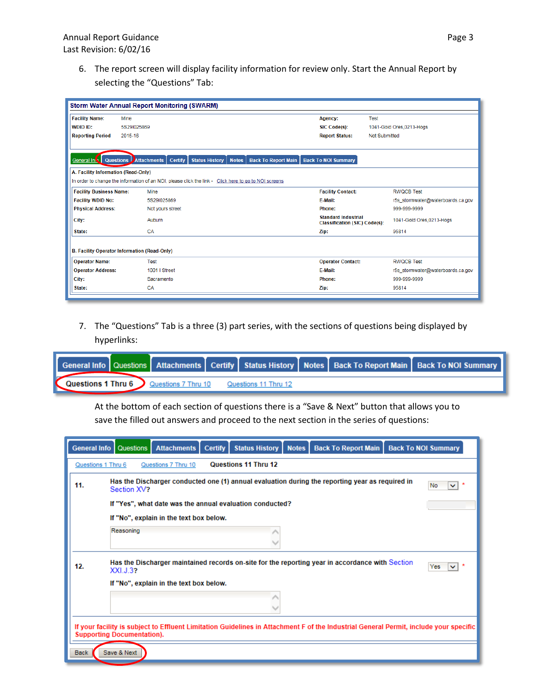6. The report screen will display facility information for review only. Start the Annual Report by selecting the "Questions" Tab:

|                                                              | <b>Storm Water Annual Report Monitoring (SWARM)</b> |                                                                                                       |                            |                                                                    |                                                           |                                   |
|--------------------------------------------------------------|-----------------------------------------------------|-------------------------------------------------------------------------------------------------------|----------------------------|--------------------------------------------------------------------|-----------------------------------------------------------|-----------------------------------|
| <b>Facility Name:</b><br>WDID ID:<br><b>Reporting Period</b> | Mine<br>5S29I025869<br>2015-16                      |                                                                                                       |                            | Agency:<br>SIC Code(s):<br><b>Report Status:</b>                   | Test<br>1041-Gold Ores, 0213-Hogs<br><b>Not Submitted</b> |                                   |
| General Int                                                  | <b>Questions Attachments</b>                        | <b>Certify</b><br><b>Status History</b><br><b>Notes</b>                                               | <b>Back To Report Main</b> | <b>Back To NOI Summary</b>                                         |                                                           |                                   |
| A. Facility Information (Read-Only)                          |                                                     | In order to change the information of an NOI, please click the link - Click here to go to NOI screens |                            |                                                                    |                                                           |                                   |
|                                                              |                                                     |                                                                                                       |                            |                                                                    |                                                           |                                   |
| <b>Facility Business Name:</b>                               | Mine                                                |                                                                                                       |                            | <b>Facility Contact:</b>                                           |                                                           | <b>RWOCB Test</b>                 |
| <b>Facility WDID No:</b>                                     | 5S29I025869                                         |                                                                                                       |                            | F-Mail:                                                            |                                                           | r5s_stormwater@waterboards.ca.gov |
| <b>Physical Address:</b>                                     | Not yours street                                    |                                                                                                       |                            | Phone:                                                             |                                                           | 999-999-9999                      |
| City:                                                        | Auburn                                              |                                                                                                       |                            | <b>Standard Industrial</b><br><b>Classification (SIC) Code(s):</b> |                                                           | 1041-Gold Ores.0213-Hogs          |
| State:                                                       | CA                                                  |                                                                                                       |                            | Zip:                                                               |                                                           | 95814                             |
|                                                              | B. Facility Operator Information (Read-Only)        |                                                                                                       |                            |                                                                    |                                                           |                                   |
| <b>Operator Name:</b>                                        | <b>Test</b>                                         |                                                                                                       |                            | <b>Operator Contact:</b>                                           |                                                           | <b>RWOCB Test</b>                 |
| <b>Operator Address:</b>                                     | 1001   Street                                       |                                                                                                       |                            | E-Mail:                                                            |                                                           | r5s_stormwater@waterboards.ca.gov |
| City:                                                        | Sacramento                                          |                                                                                                       |                            | Phone:                                                             |                                                           | 999-999-9999                      |
| State:                                                       | CA                                                  |                                                                                                       |                            | Zip:                                                               |                                                           | 95814                             |
|                                                              |                                                     |                                                                                                       |                            |                                                                    |                                                           |                                   |

7. The "Questions" Tab is a three (3) part series, with the sections of questions being displayed by hyperlinks:

|                      |                     |                      |  | General Info   Questions   Attachments   Certify   Status History   Notes   Back To Report Main   Back To NOI Summary |
|----------------------|---------------------|----------------------|--|-----------------------------------------------------------------------------------------------------------------------|
| . Questions 1 Thru 6 | Questions 7 Thru 10 | Questions 11 Thru 12 |  |                                                                                                                       |

At the bottom of each section of questions there is a "Save & Next" button that allows you to save the filled out answers and proceed to the next section in the series of questions:

|                    | General Info   Questions          | <b>Attachments</b>                      | <b>Certify</b> | <b>Status History</b>                                    | <b>Notes</b> | <b>Back To Report Main</b>                                                                                                            | <b>Back To NOI Summary</b> |
|--------------------|-----------------------------------|-----------------------------------------|----------------|----------------------------------------------------------|--------------|---------------------------------------------------------------------------------------------------------------------------------------|----------------------------|
| Questions 1 Thru 6 |                                   | Questions 7 Thru 10                     |                | Questions 11 Thru 12                                     |              |                                                                                                                                       |                            |
| 11.                | Section XV?                       |                                         |                |                                                          |              | Has the Discharger conducted one (1) annual evaluation during the reporting year as required in                                       | No<br>$\checkmark$         |
|                    |                                   |                                         |                | If "Yes", what date was the annual evaluation conducted? |              |                                                                                                                                       |                            |
|                    |                                   | If "No", explain in the text box below. |                |                                                          |              |                                                                                                                                       |                            |
|                    | Reasoning                         |                                         |                |                                                          |              |                                                                                                                                       |                            |
| 12.                | XXI.J.3?                          |                                         |                |                                                          |              | Has the Discharger maintained records on-site for the reporting year in accordance with Section                                       | Yes                        |
|                    |                                   | If "No", explain in the text box below. |                |                                                          |              |                                                                                                                                       |                            |
|                    |                                   |                                         |                |                                                          |              |                                                                                                                                       |                            |
|                    | <b>Supporting Documentation).</b> |                                         |                |                                                          |              | If your facility is subject to Effluent Limitation Guidelines in Attachment F of the Industrial General Permit, include your specific |                            |
| Back               | Save & Next                       |                                         |                |                                                          |              |                                                                                                                                       |                            |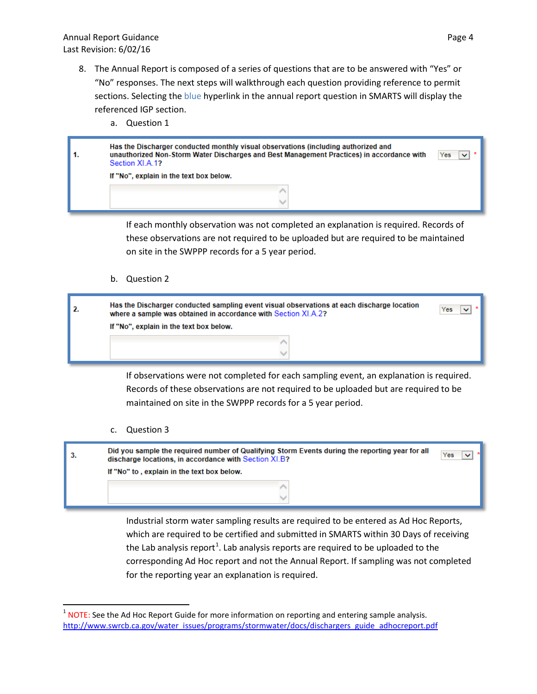- 8. The Annual Report is composed of a series of questions that are to be answered with "Yes" or "No" responses. The next steps will walkthrough each question providing reference to permit sections. Selecting the blue hyperlink in the annual report question in SMARTS will display the referenced IGP section.
	- a. Question 1

| Has the Discharger conducted monthly visual observations (including authorized and<br>unauthorized Non-Storm Water Discharges and Best Management Practices) in accordance with<br>Section XLA 1? | Yes |
|---------------------------------------------------------------------------------------------------------------------------------------------------------------------------------------------------|-----|
| If "No", explain in the text box below.                                                                                                                                                           |     |
|                                                                                                                                                                                                   |     |

If each monthly observation was not completed an explanation is required. Records of these observations are not required to be uploaded but are required to be maintained on site in the SWPPP records for a 5 year period.

b. Question 2

| Has the Discharger conducted sampling event visual observations at each discharge location<br>where a sample was obtained in accordance with Section XI.A.2? | Yes |
|--------------------------------------------------------------------------------------------------------------------------------------------------------------|-----|
| If "No", explain in the text box below.                                                                                                                      |     |
|                                                                                                                                                              |     |
|                                                                                                                                                              |     |

If observations were not completed for each sampling event, an explanation is required. Records of these observations are not required to be uploaded but are required to be maintained on site in the SWPPP records for a 5 year period.

c. Question 3



Industrial storm water sampling results are required to be entered as Ad Hoc Reports, which are required to be certified and submitted in SMARTS within 30 Days of receiving the Lab analysis report<sup>[1](#page-0-0)</sup>. Lab analysis reports are required to be uploaded to the corresponding Ad Hoc report and not the Annual Report. If sampling was not completed for the reporting year an explanation is required.

<span id="page-4-0"></span> $1$  NOTE: See the Ad Hoc Report Guide for more information on reporting and entering sample analysis. [http://www.swrcb.ca.gov/water\\_issues/programs/stormwater/docs/dischargers\\_guide\\_adhocreport.pdf](http://www.swrcb.ca.gov/water_issues/programs/stormwater/docs/dischargers_guide_adhocreport.pdf)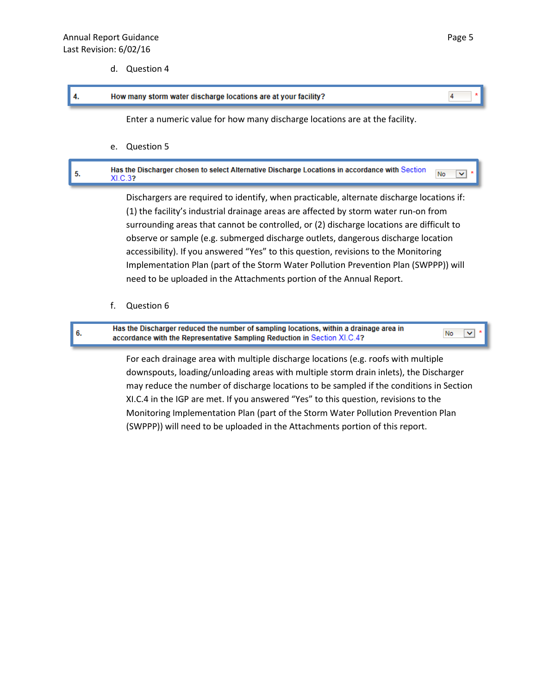d. Question 4

#### 4. How many storm water discharge locations are at your facility?

Enter a numeric value for how many discharge locations are at the facility.

e. Question 5

#### Has the Discharger chosen to select Alternative Discharge Locations in accordance with Section 5. No  $\ddotmark$ XI.C.3?

Dischargers are required to identify, when practicable, alternate discharge locations if: (1) the facility's industrial drainage areas are affected by storm water run-on from surrounding areas that cannot be controlled, or (2) discharge locations are difficult to observe or sample (e.g. submerged discharge outlets, dangerous discharge location accessibility). If you answered "Yes" to this question, revisions to the Monitoring Implementation Plan (part of the Storm Water Pollution Prevention Plan (SWPPP)) will need to be uploaded in the Attachments portion of the Annual Report.

f. Question 6

Has the Discharger reduced the number of sampling locations, within a drainage area in No 6. accordance with the Representative Sampling Reduction in Section XI.C.4?

> For each drainage area with multiple discharge locations (e.g. roofs with multiple downspouts, loading/unloading areas with multiple storm drain inlets), the Discharger may reduce the number of discharge locations to be sampled if the conditions in Section XI.C.4 in the IGP are met. If you answered "Yes" to this question, revisions to the Monitoring Implementation Plan (part of the Storm Water Pollution Prevention Plan (SWPPP)) will need to be uploaded in the Attachments portion of this report.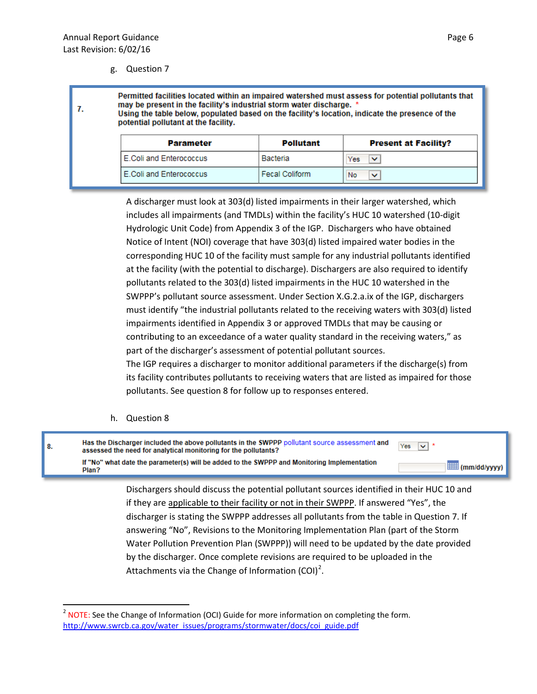g. Question 7

Permitted facilities located within an impaired watershed must assess for potential pollutants that may be present in the facility's industrial storm water discharge. \* 7. Using the table below, populated based on the facility's location, indicate the presence of the potential pollutant at the facility. **Parameter** Pollutant **Present at Facility?** E.Coli and Enterococcus Bacteria Yes  $\vee$ E.Coli and Enterococcus Fecal Coliform No ◡

> A discharger must look at 303(d) listed impairments in their larger watershed, which includes all impairments (and TMDLs) within the facility's HUC 10 watershed (10-digit Hydrologic Unit Code) from Appendix 3 of the IGP. Dischargers who have obtained Notice of Intent (NOI) coverage that have 303(d) listed impaired water bodies in the corresponding HUC 10 of the facility must sample for any industrial pollutants identified at the facility (with the potential to discharge). Dischargers are also required to identify pollutants related to the 303(d) listed impairments in the HUC 10 watershed in the SWPPP's pollutant source assessment. Under Section X.G.2.a.ix of the IGP, dischargers must identify "the industrial pollutants related to the receiving waters with 303(d) listed impairments identified in Appendix 3 or approved TMDLs that may be causing or contributing to an exceedance of a water quality standard in the receiving waters," as part of the discharger's assessment of potential pollutant sources.

> The IGP requires a discharger to monitor additional parameters if the discharge(s) from its facility contributes pollutants to receiving waters that are listed as impaired for those pollutants. See question 8 for follow up to responses entered.

h. Question 8

| 8. | Has the Discharger included the above pollutants in the SWPPP pollutant source assessment and<br>assessed the need for analytical monitoring for the pollutants? | Yes $\overline{\vee}$ *     |
|----|------------------------------------------------------------------------------------------------------------------------------------------------------------------|-----------------------------|
|    | If "No" what date the parameter(s) will be added to the SWPPP and Monitoring Implementation<br>Plan?                                                             | $\blacksquare$ (mm/dd/yyyy) |
|    | Dischargers should discuss the potential pollutant sources identified in their HUC 10 and                                                                        |                             |

if they are applicable to their facility or not in their SWPPP. If answered "Yes", the discharger is stating the SWPPP addresses all pollutants from the table in Question 7. If answering "No", Revisions to the Monitoring Implementation Plan (part of the Storm Water Pollution Prevention Plan (SWPPP)) will need to be updated by the date provided by the discharger. Once complete revisions are required to be uploaded in the Attachments via the Change of Information (COI)<sup>[2](#page-4-0)</sup>.

<span id="page-6-0"></span><sup>&</sup>lt;sup>2</sup> NOTE: See the Change of Information (OCI) Guide for more information on completing the form. [http://www.swrcb.ca.gov/water\\_issues/programs/stormwater/docs/coi\\_guide.pdf](http://www.swrcb.ca.gov/water_issues/programs/stormwater/docs/coi_guide.pdf)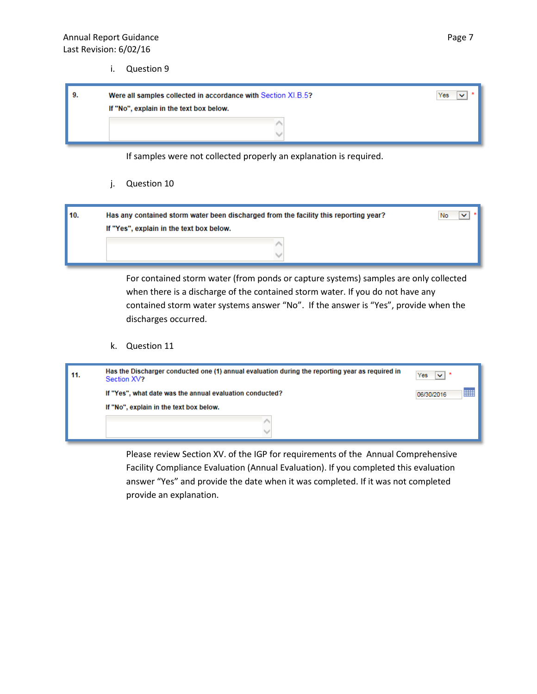i. Question 9

| -9. | Were all samples collected in accordance with Section XI.B.5? |
|-----|---------------------------------------------------------------|
|     | If "No", explain in the text box below.                       |
|     |                                                               |
|     |                                                               |

If samples were not collected properly an explanation is required.

j. Question 10

| 10. | Has any contained storm water been discharged from the facility this reporting year? | No |
|-----|--------------------------------------------------------------------------------------|----|
|     | If "Yes", explain in the text box below.                                             |    |
|     |                                                                                      |    |
|     |                                                                                      |    |

For contained storm water (from ponds or capture systems) samples are only collected when there is a discharge of the contained storm water. If you do not have any contained storm water systems answer "No". If the answer is "Yes", provide when the discharges occurred.

k. Question 11

| 11. | Has the Discharger conducted one (1) annual evaluation during the reporting year as required in<br>Section XV? | Yes             |
|-----|----------------------------------------------------------------------------------------------------------------|-----------------|
|     | If "Yes", what date was the annual evaluation conducted?                                                       | m<br>06/30/2016 |
|     | If "No", explain in the text box below.                                                                        |                 |
|     |                                                                                                                |                 |
|     |                                                                                                                |                 |

Please review Section XV. of the IGP for requirements of the Annual Comprehensive Facility Compliance Evaluation (Annual Evaluation). If you completed this evaluation answer "Yes" and provide the date when it was completed. If it was not completed provide an explanation.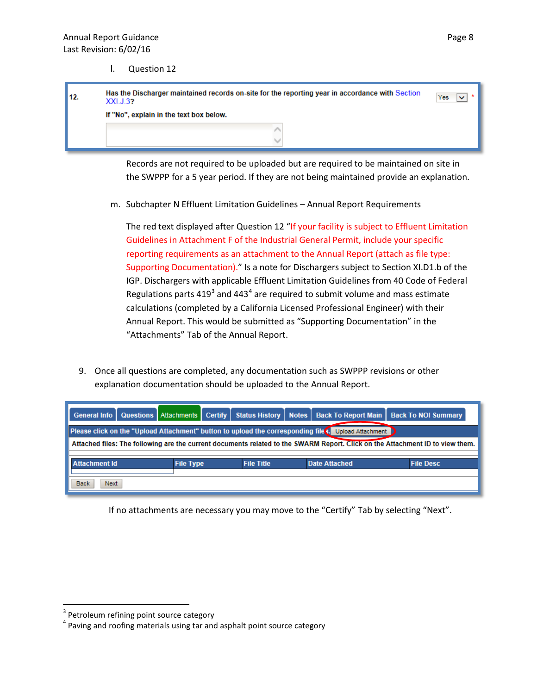l. Question 12

| 12. | Has the Discharger maintained records on-site for the reporting year in accordance with Section<br>XXLJ.32 | Yes |  |  |
|-----|------------------------------------------------------------------------------------------------------------|-----|--|--|
|     | If "No", explain in the text box below.                                                                    |     |  |  |
|     |                                                                                                            |     |  |  |

Records are not required to be uploaded but are required to be maintained on site in the SWPPP for a 5 year period. If they are not being maintained provide an explanation.

m. Subchapter N Effluent Limitation Guidelines – Annual Report Requirements

The red text displayed after Question 12 "If your facility is subject to Effluent Limitation Guidelines in Attachment F of the Industrial General Permit, include your specific reporting requirements as an attachment to the Annual Report (attach as file type: Supporting Documentation)." Is a note for Dischargers subject to Section XI.D1.b of the IGP. Dischargers with applicable Effluent Limitation Guidelines from 40 Code of Federal Regulations parts  $419<sup>3</sup>$  $419<sup>3</sup>$  $419<sup>3</sup>$  and  $443<sup>4</sup>$  $443<sup>4</sup>$  are required to submit volume and mass estimate calculations (completed by a California Licensed Professional Engineer) with their Annual Report. This would be submitted as "Supporting Documentation" in the "Attachments" Tab of the Annual Report.

9. Once all questions are completed, any documentation such as SWPPP revisions or other explanation documentation should be uploaded to the Annual Report.

| <b>General Info</b>                                                                                  |                                                                                                                               | Questions Attachments | <b>Certify</b> | Status History   Notes |  |  | Back To Report Main   Back To NOI Summary |
|------------------------------------------------------------------------------------------------------|-------------------------------------------------------------------------------------------------------------------------------|-----------------------|----------------|------------------------|--|--|-------------------------------------------|
| Please click on the "Upload Attachment" button to upload the corresponding file S. Upload Attachment |                                                                                                                               |                       |                |                        |  |  |                                           |
|                                                                                                      | Attached files: The following are the current documents related to the SWARM Report. Click on the Attachment ID to view them. |                       |                |                        |  |  |                                           |
| <b>Attachment Id</b>                                                                                 | <b>File Title</b><br><b>Date Attached</b><br><b>File Desc</b><br><b>File Type</b>                                             |                       |                |                        |  |  |                                           |
| <b>Back</b><br>Next                                                                                  |                                                                                                                               |                       |                |                        |  |  |                                           |

If no attachments are necessary you may move to the "Certify" Tab by selecting "Next".

<span id="page-8-0"></span>

<span id="page-8-1"></span> $3$  Petroleum refining point source category<br> $4$  Paving and roofing materials using tar and asphalt point source category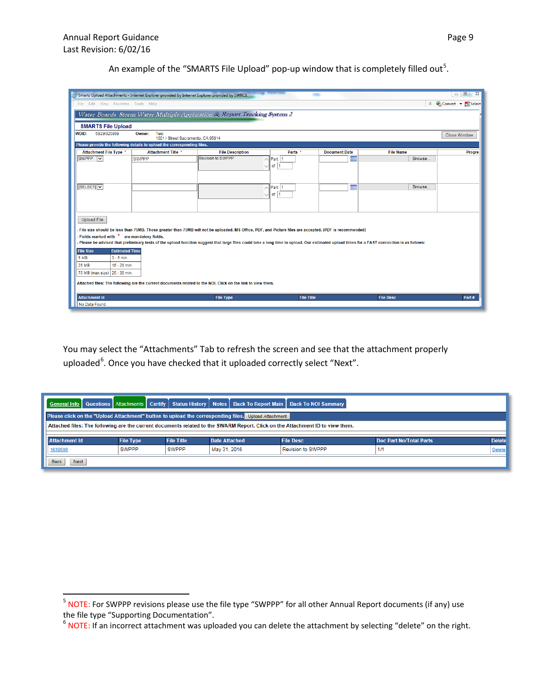|                                                          | Smarts Upload Attachments - Internet Explorer provided by Internet Explorer provided by SWRCB.              |                                                                                                                                                                                            |                   |                      |                  | $\begin{array}{c c c c c} \hline \multicolumn{3}{c }{\textbf{a}} & \multicolumn{3}{c }{\textbf{b}} \\ \hline \multicolumn{3}{c }{\textbf{b}} & \multicolumn{3}{c }{\textbf{c}} \\ \hline \multicolumn{3}{c }{\textbf{c}} & \multicolumn{3}{c }{\textbf{d}} \\ \hline \multicolumn{3}{c }{\textbf{d}} & \multicolumn{3}{c }{\textbf{d}} \\ \hline \multicolumn{3}{c }{\textbf{b}} & \multicolumn{3}{c }{\textbf{c}} \\ \hline \multicolumn{3}{c }{\textbf{d}} &$<br>$\Sigma$ |
|----------------------------------------------------------|-------------------------------------------------------------------------------------------------------------|--------------------------------------------------------------------------------------------------------------------------------------------------------------------------------------------|-------------------|----------------------|------------------|-----------------------------------------------------------------------------------------------------------------------------------------------------------------------------------------------------------------------------------------------------------------------------------------------------------------------------------------------------------------------------------------------------------------------------------------------------------------------------|
|                                                          | $\times$ Convert $\times$ <b>Ex</b> Select<br>File Edit View Favorites Tools Help                           |                                                                                                                                                                                            |                   |                      |                  |                                                                                                                                                                                                                                                                                                                                                                                                                                                                             |
|                                                          |                                                                                                             | Water Boards Storm Water Multiple Application & Report Tracking System 2                                                                                                                   |                   |                      |                  |                                                                                                                                                                                                                                                                                                                                                                                                                                                                             |
|                                                          |                                                                                                             |                                                                                                                                                                                            |                   |                      |                  |                                                                                                                                                                                                                                                                                                                                                                                                                                                                             |
| <b>SMARTS File Upload</b><br><b>WDID:</b><br>5S29I025869 | Owner:<br>Test                                                                                              |                                                                                                                                                                                            |                   |                      |                  |                                                                                                                                                                                                                                                                                                                                                                                                                                                                             |
|                                                          | 1001   Street Sacramento, CA 95814                                                                          |                                                                                                                                                                                            |                   |                      |                  | <b>Close Window</b>                                                                                                                                                                                                                                                                                                                                                                                                                                                         |
|                                                          | Please provide the following details to upload the corresponding files.                                     |                                                                                                                                                                                            |                   |                      |                  |                                                                                                                                                                                                                                                                                                                                                                                                                                                                             |
| Attachment File Type *                                   | Attachment Title *                                                                                          | <b>File Description</b>                                                                                                                                                                    | Parts *           | <b>Document Date</b> | <b>File Name</b> | <b>Progre</b>                                                                                                                                                                                                                                                                                                                                                                                                                                                               |
| SWPPP V                                                  | <b>SWPPP</b>                                                                                                | <b>Revision to SWPPP</b>                                                                                                                                                                   | $\wedge$ Part 1   | m                    | Browse           |                                                                                                                                                                                                                                                                                                                                                                                                                                                                             |
|                                                          |                                                                                                             |                                                                                                                                                                                            | $\cup$ of 1       |                      |                  |                                                                                                                                                                                                                                                                                                                                                                                                                                                                             |
|                                                          |                                                                                                             |                                                                                                                                                                                            |                   |                      |                  |                                                                                                                                                                                                                                                                                                                                                                                                                                                                             |
| [SELECT] V                                               |                                                                                                             |                                                                                                                                                                                            | $\wedge$ Part 1   | m                    | Browse           |                                                                                                                                                                                                                                                                                                                                                                                                                                                                             |
|                                                          |                                                                                                             |                                                                                                                                                                                            | $\vee$ of 1       |                      |                  |                                                                                                                                                                                                                                                                                                                                                                                                                                                                             |
|                                                          |                                                                                                             |                                                                                                                                                                                            |                   |                      |                  |                                                                                                                                                                                                                                                                                                                                                                                                                                                                             |
|                                                          |                                                                                                             |                                                                                                                                                                                            |                   |                      |                  |                                                                                                                                                                                                                                                                                                                                                                                                                                                                             |
| <b>Upload File</b>                                       |                                                                                                             |                                                                                                                                                                                            |                   |                      |                  |                                                                                                                                                                                                                                                                                                                                                                                                                                                                             |
|                                                          |                                                                                                             | File size should be less than 75MB. Those greater than 75MB will not be uploaded. MS Office, PDF, and Picture files are accepted. (PDF is recommended)                                     |                   |                      |                  |                                                                                                                                                                                                                                                                                                                                                                                                                                                                             |
|                                                          | - Fields marked with $\frac{*}{*}$ are mandatory fields.                                                    |                                                                                                                                                                                            |                   |                      |                  |                                                                                                                                                                                                                                                                                                                                                                                                                                                                             |
|                                                          |                                                                                                             | Please be advised that preliminary tests of the upload function suggest that large files could take a long time to upload. Our estimated upload times for a FAST connection is as follows: |                   |                      |                  |                                                                                                                                                                                                                                                                                                                                                                                                                                                                             |
| <b>File Size</b>                                         | <b>Estimated Time</b>                                                                                       |                                                                                                                                                                                            |                   |                      |                  |                                                                                                                                                                                                                                                                                                                                                                                                                                                                             |
| <b>5 MB</b>                                              | $3 - 5$ min.                                                                                                |                                                                                                                                                                                            |                   |                      |                  |                                                                                                                                                                                                                                                                                                                                                                                                                                                                             |
| <b>25 MB</b>                                             | $15 - 20$ min.                                                                                              |                                                                                                                                                                                            |                   |                      |                  |                                                                                                                                                                                                                                                                                                                                                                                                                                                                             |
| 75 MB (max size) 25 - 30 min.                            |                                                                                                             |                                                                                                                                                                                            |                   |                      |                  |                                                                                                                                                                                                                                                                                                                                                                                                                                                                             |
|                                                          | Attached files: The following are the current documents related to the NOI. Click on the link to view them. |                                                                                                                                                                                            |                   |                      |                  |                                                                                                                                                                                                                                                                                                                                                                                                                                                                             |
| <b>Attachment Id</b>                                     |                                                                                                             | <b>File Type</b>                                                                                                                                                                           | <b>File Title</b> |                      | <b>File Desc</b> | Part#                                                                                                                                                                                                                                                                                                                                                                                                                                                                       |
| No Data Found.                                           |                                                                                                             |                                                                                                                                                                                            |                   |                      |                  |                                                                                                                                                                                                                                                                                                                                                                                                                                                                             |

An example of the "SMARTS File Upload" pop-up window that is completely filled out<sup>[5](#page-8-1)</sup>.

You may select the "Attachments" Tab to refresh the screen and see that the attachment properly uploaded<sup>[6](#page-9-0)</sup>. Once you have checked that it uploaded correctly select "Next".

| General Info   Questions   Attachments   Certify   Status History   Notes   Back To Report Main   Back To NOI Summary |                  |                   |                      |                                                                                                                               |                         |               |  |
|-----------------------------------------------------------------------------------------------------------------------|------------------|-------------------|----------------------|-------------------------------------------------------------------------------------------------------------------------------|-------------------------|---------------|--|
| Please click on the "Upload Attachment" button to upload the corresponding files. Upload Attachment                   |                  |                   |                      |                                                                                                                               |                         |               |  |
|                                                                                                                       |                  |                   |                      | Attached files: The following are the current documents related to the SWARM Report. Click on the Attachment ID to view them. |                         |               |  |
|                                                                                                                       |                  |                   |                      |                                                                                                                               |                         |               |  |
| <b>Attachment Id</b>                                                                                                  | <b>File Type</b> | <b>File Title</b> | <b>Date Attached</b> | <b>File Desc</b>                                                                                                              | Doc Part No/Total Parts | <b>Delete</b> |  |
| <b>SWPPP</b><br><b>SWPPP</b><br>May 31, 2016<br><b>Revision to SWPPP</b><br>1/1<br>Delete<br>1639598                  |                  |                   |                      |                                                                                                                               |                         |               |  |
| <b>Next</b><br><b>Back</b>                                                                                            |                  |                   |                      |                                                                                                                               |                         |               |  |

<span id="page-9-1"></span><sup>&</sup>lt;sup>5</sup> NOTE: For SWPPP revisions please use the file type "SWPPP" for all other Annual Report documents (if any) use the file type "Supporting Documentation".

<span id="page-9-0"></span> $6$  NOTE: If an incorrect attachment was uploaded you can delete the attachment by selecting "delete" on the right.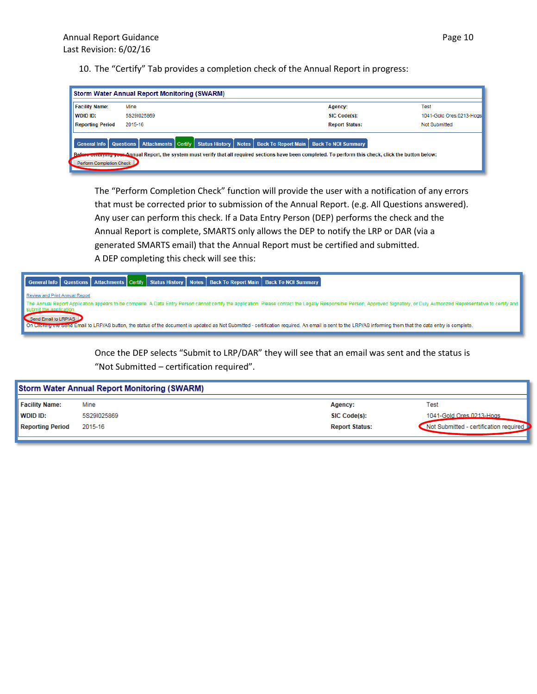10. The "Certify" Tab provides a completion check of the Annual Report in progress:

| <b>Storm Water Annual Report Monitoring (SWARM)</b> |                                                                                                                                                                                                                                                                                   |                       |                           |  |  |
|-----------------------------------------------------|-----------------------------------------------------------------------------------------------------------------------------------------------------------------------------------------------------------------------------------------------------------------------------------|-----------------------|---------------------------|--|--|
| <b>Facility Name:</b>                               | Mine                                                                                                                                                                                                                                                                              | Agency:               | Test                      |  |  |
| WDID ID:                                            | 5S29I025869                                                                                                                                                                                                                                                                       | SIC Code(s):          | 1041-Gold Ores, 0213-Hogs |  |  |
| <b>Reporting Period</b>                             | 2015-16                                                                                                                                                                                                                                                                           | <b>Report Status:</b> | Not Submitted             |  |  |
| Befer<br>Perform Completion Check                   | General Info   Questions   Attachments   Certify   Status History   Notes   Back To Report Main   Back To NOI Summary<br>ore certifying your Annual Report, the system must verify that all required sections have been completed. To perform this check, click the button below: |                       |                           |  |  |

The "Perform Completion Check" function will provide the user with a notification of any errors that must be corrected prior to submission of the Annual Report. (e.g. All Questions answered). Any user can perform this check. If a Data Entry Person (DEP) performs the check and the Annual Report is complete, SMARTS only allows the DEP to notify the LRP or DAR (via a generated SMARTS email) that the Annual Report must be certified and submitted. A DEP completing this check will see this:



Once the DEP selects "Submit to LRP/DAR" they will see that an email was sent and the status is "Not Submitted – certification required".

| <b>Storm Water Annual Report Monitoring (SWARM)</b> |             |                       |                                        |
|-----------------------------------------------------|-------------|-----------------------|----------------------------------------|
| <b>Facility Name:</b>                               | Mine        | Agency:               | Test                                   |
| <b>WDID ID:</b>                                     | 5S29I025869 | SIC Code(s):          | 1041-Gold Ores 0213-Hogs               |
| <b>Reporting Period</b>                             | 2015-16     | <b>Report Status:</b> | Not Submitted - certification required |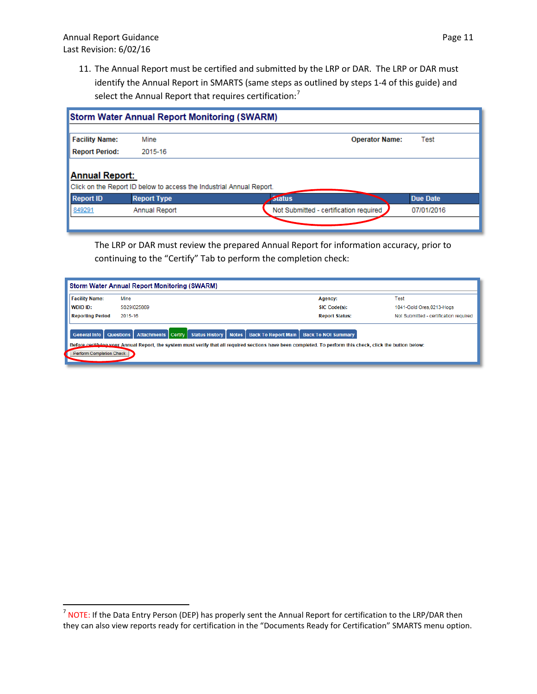11. The Annual Report must be certified and submitted by the LRP or DAR. The LRP or DAR must identify the Annual Report in SMARTS (same steps as outlined by steps 1-4 of this guide) and select the Annual Report that requires certification:<sup>[7](#page-9-1)</sup>

|                       | <b>Storm Water Annual Report Monitoring (SWARM)</b>                  |                                        |                 |
|-----------------------|----------------------------------------------------------------------|----------------------------------------|-----------------|
| <b>Facility Name:</b> | Mine                                                                 | <b>Operator Name:</b>                  | Test            |
| <b>Report Period:</b> | 2015-16                                                              |                                        |                 |
| <b>Annual Report:</b> | Click on the Report ID below to access the Industrial Annual Report. |                                        |                 |
| <b>Report ID</b>      | <b>Report Type</b>                                                   | <b>Status</b>                          | <b>Due Date</b> |
| 849291                | Annual Report                                                        | Not Submitted - certification required | 07/01/2016      |
|                       |                                                                      |                                        |                 |

The LRP or DAR must review the prepared Annual Report for information accuracy, prior to continuing to the "Certify" Tab to perform the completion check:

| <b>Storm Water Annual Report Monitoring (SWARM)</b>    |                                                                                                                                                                                                                                                                 |                       |                                        |  |  |
|--------------------------------------------------------|-----------------------------------------------------------------------------------------------------------------------------------------------------------------------------------------------------------------------------------------------------------------|-----------------------|----------------------------------------|--|--|
| <b>Facility Name:</b>                                  | Mine                                                                                                                                                                                                                                                            | Agency:               | Test                                   |  |  |
| WDID ID:                                               | 5S29I025869                                                                                                                                                                                                                                                     | SIC Code(s):          | 1041-Gold Ores, 0213-Hogs              |  |  |
| <b>Reporting Period</b>                                | 2015-16                                                                                                                                                                                                                                                         | <b>Report Status:</b> | Not Submitted - certification required |  |  |
| General Info   Questions  <br>Perform Completion Check | Status History   Notes   Back To Report Main   Back To NOI Summary<br><b>Attachments Certify</b><br>Before certifying your Annual Report, the system must verify that all required sections have been completed. To perform this check, click the button below: |                       |                                        |  |  |

 $7$  NOTE: If the Data Entry Person (DEP) has properly sent the Annual Report for certification to the LRP/DAR then they can also view reports ready for certification in the "Documents Ready for Certification" SMARTS menu option.